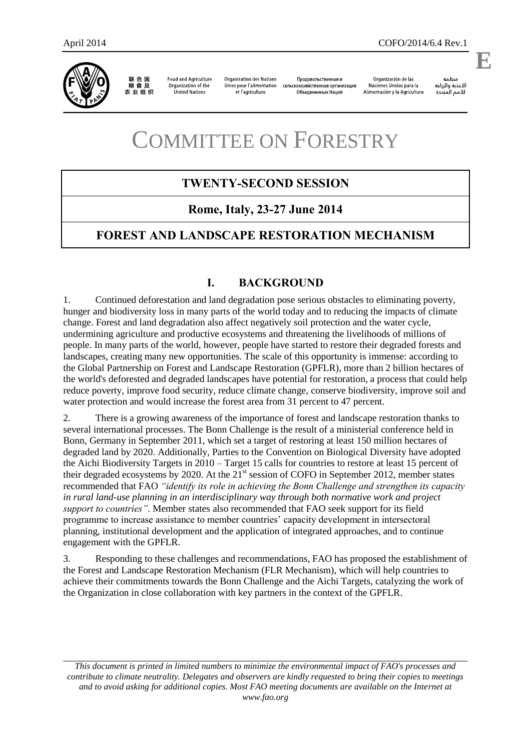

联合国<br>粮食及 农业组织

**Food and Agriculture** Organization of the United Nations

**Organisation des Nations** Unies pour l'alimentation et l'agriculture

Продовольственная и сельскохозяйственная организация Объединенных Наций

Organización de las Naciones Unidas para la Alimentación y la Agricultura

änhin الأغذية والزراعة للأمم المتحدة

.

**E**

# COMMITTEE ON FORESTRY

# **TWENTY-SECOND SESSION**

### **Rome, Italy, 23-27 June 2014**

## **FOREST AND LANDSCAPE RESTORATION MECHANISM**

#### **I. BACKGROUND**

1. Continued deforestation and land degradation pose serious obstacles to eliminating poverty, hunger and biodiversity loss in many parts of the world today and to reducing the impacts of climate change. Forest and land degradation also affect negatively soil protection and the water cycle, undermining agriculture and productive ecosystems and threatening the livelihoods of millions of people. In many parts of the world, however, people have started to restore their degraded forests and landscapes, creating many new opportunities. The scale of this opportunity is immense: according to the Global Partnership on Forest and Landscape Restoration (GPFLR), more than 2 billion hectares of the world's deforested and degraded landscapes have potential for restoration, a process that could help reduce poverty, improve food security, reduce climate change, conserve biodiversity, improve soil and water protection and would increase the forest area from 31 percent to 47 percent.

2. There is a growing awareness of the importance of forest and landscape restoration thanks to several international processes. The Bonn Challenge is the result of a ministerial conference held in Bonn, Germany in September 2011, which set a target of restoring at least 150 million hectares of degraded land by 2020. Additionally, Parties to the Convention on Biological Diversity have adopted the Aichi Biodiversity Targets in 2010 – Target 15 calls for countries to restore at least 15 percent of their degraded ecosystems by 2020. At the  $21<sup>st</sup>$  session of COFO in September 2012, member states recommended that FAO *"identify its role in achieving the Bonn Challenge and strengthen its capacity in rural land-use planning in an interdisciplinary way through both normative work and project support to countries"*. Member states also recommended that FAO seek support for its field programme to increase assistance to member countries' capacity development in intersectoral planning, institutional development and the application of integrated approaches, and to continue engagement with the GPFLR.

3. Responding to these challenges and recommendations, FAO has proposed the establishment of the Forest and Landscape Restoration Mechanism (FLR Mechanism), which will help countries to achieve their commitments towards the Bonn Challenge and the Aichi Targets, catalyzing the work of the Organization in close collaboration with key partners in the context of the GPFLR.

*This document is printed in limited numbers to minimize the environmental impact of FAO's processes and contribute to climate neutrality. Delegates and observers are kindly requested to bring their copies to meetings and to avoid asking for additional copies. Most FAO meeting documents are available on the Internet at www.fao.org*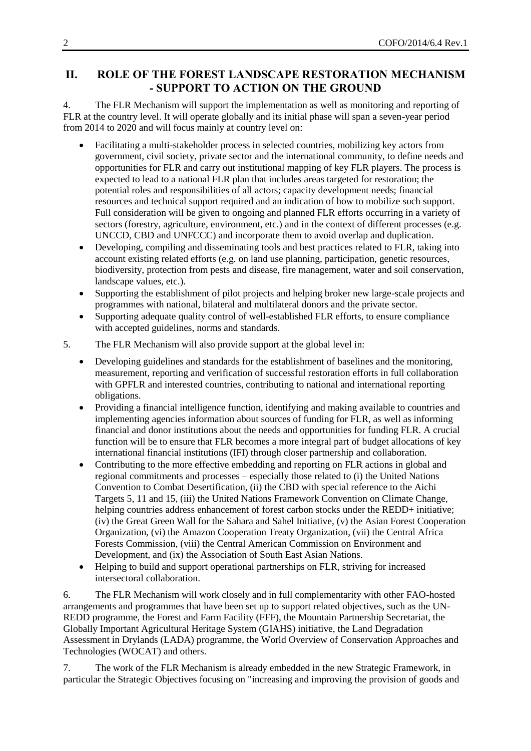# **II. ROLE OF THE FOREST LANDSCAPE RESTORATION MECHANISM - SUPPORT TO ACTION ON THE GROUND**

4. The FLR Mechanism will support the implementation as well as monitoring and reporting of FLR at the country level. It will operate globally and its initial phase will span a seven-year period from 2014 to 2020 and will focus mainly at country level on:

- Facilitating a multi-stakeholder process in selected countries, mobilizing key actors from government, civil society, private sector and the international community, to define needs and opportunities for FLR and carry out institutional mapping of key FLR players. The process is expected to lead to a national FLR plan that includes areas targeted for restoration; the potential roles and responsibilities of all actors; capacity development needs; financial resources and technical support required and an indication of how to mobilize such support. Full consideration will be given to ongoing and planned FLR efforts occurring in a variety of sectors (forestry, agriculture, environment, etc.) and in the context of different processes (e.g. UNCCD, CBD and UNFCCC) and incorporate them to avoid overlap and duplication.
- Developing, compiling and disseminating tools and best practices related to FLR, taking into account existing related efforts (e.g. on land use planning, participation, genetic resources, biodiversity, protection from pests and disease, fire management, water and soil conservation, landscape values, etc.).
- Supporting the establishment of pilot projects and helping broker new large-scale projects and programmes with national, bilateral and multilateral donors and the private sector.
- Supporting adequate quality control of well-established FLR efforts, to ensure compliance with accepted guidelines, norms and standards.
- 5. The FLR Mechanism will also provide support at the global level in:
	- Developing guidelines and standards for the establishment of baselines and the monitoring, measurement, reporting and verification of successful restoration efforts in full collaboration with GPFLR and interested countries, contributing to national and international reporting obligations.
	- Providing a financial intelligence function, identifying and making available to countries and implementing agencies information about sources of funding for FLR, as well as informing financial and donor institutions about the needs and opportunities for funding FLR. A crucial function will be to ensure that FLR becomes a more integral part of budget allocations of key international financial institutions (IFI) through closer partnership and collaboration.
	- Contributing to the more effective embedding and reporting on FLR actions in global and regional commitments and processes – especially those related to (i) the United Nations Convention to Combat Desertification, (ii) the CBD with special reference to the Aichi Targets 5, 11 and 15, (iii) the United Nations Framework Convention on Climate Change, helping countries address enhancement of forest carbon stocks under the REDD+ initiative; (iv) the Great Green Wall for the Sahara and Sahel Initiative, (v) the Asian Forest Cooperation Organization, (vi) the Amazon Cooperation Treaty Organization, (vii) the Central Africa Forests Commission, (viii) the Central American Commission on Environment and Development, and (ix) the Association of South East Asian Nations.
	- Helping to build and support operational partnerships on FLR, striving for increased intersectoral collaboration.

6. The FLR Mechanism will work closely and in full complementarity with other FAO-hosted arrangements and programmes that have been set up to support related objectives, such as the UN-REDD programme, the Forest and Farm Facility (FFF), the Mountain Partnership Secretariat, the Globally Important Agricultural Heritage System (GIAHS) initiative, the Land Degradation Assessment in Drylands (LADA) programme, the World Overview of Conservation Approaches and Technologies (WOCAT) and others.

7. The work of the FLR Mechanism is already embedded in the new Strategic Framework, in particular the Strategic Objectives focusing on "increasing and improving the provision of goods and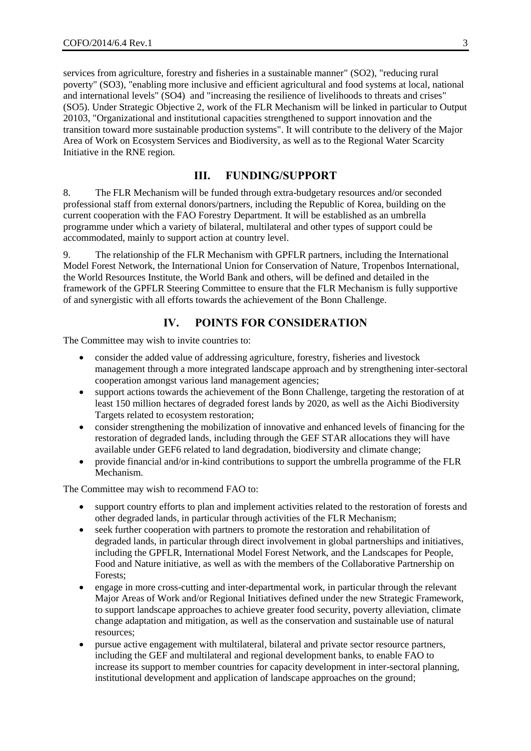services from agriculture, forestry and fisheries in a sustainable manner" (SO2), "reducing rural poverty" (SO3), "enabling more inclusive and efficient agricultural and food systems at local, national and international levels" (SO4) and "increasing the resilience of livelihoods to threats and crises" (SO5). Under Strategic Objective 2, work of the FLR Mechanism will be linked in particular to Output 20103, "Organizational and institutional capacities strengthened to support innovation and the transition toward more sustainable production systems". It will contribute to the delivery of the Major Area of Work on Ecosystem Services and Biodiversity, as well as to the Regional Water Scarcity Initiative in the RNE region.

#### **III. FUNDING/SUPPORT**

8. The FLR Mechanism will be funded through extra-budgetary resources and/or seconded professional staff from external donors/partners, including the Republic of Korea, building on the current cooperation with the FAO Forestry Department. It will be established as an umbrella programme under which a variety of bilateral, multilateral and other types of support could be accommodated, mainly to support action at country level.

9. The relationship of the FLR Mechanism with GPFLR partners, including the International Model Forest Network, the International Union for Conservation of Nature, Tropenbos International, the World Resources Institute, the World Bank and others, will be defined and detailed in the framework of the GPFLR Steering Committee to ensure that the FLR Mechanism is fully supportive of and synergistic with all efforts towards the achievement of the Bonn Challenge.

#### **IV. POINTS FOR CONSIDERATION**

The Committee may wish to invite countries to:

- consider the added value of addressing agriculture, forestry, fisheries and livestock management through a more integrated landscape approach and by strengthening inter-sectoral cooperation amongst various land management agencies;
- support actions towards the achievement of the Bonn Challenge, targeting the restoration of at least 150 million hectares of degraded forest lands by 2020, as well as the Aichi Biodiversity Targets related to ecosystem restoration;
- consider strengthening the mobilization of innovative and enhanced levels of financing for the restoration of degraded lands, including through the GEF STAR allocations they will have available under GEF6 related to land degradation, biodiversity and climate change;
- provide financial and/or in-kind contributions to support the umbrella programme of the FLR Mechanism.

The Committee may wish to recommend FAO to:

- support country efforts to plan and implement activities related to the restoration of forests and other degraded lands, in particular through activities of the FLR Mechanism;
- seek further cooperation with partners to promote the restoration and rehabilitation of degraded lands, in particular through direct involvement in global partnerships and initiatives, including the GPFLR, International Model Forest Network, and the Landscapes for People, Food and Nature initiative, as well as with the members of the Collaborative Partnership on Forests;
- engage in more cross-cutting and inter-departmental work, in particular through the relevant Major Areas of Work and/or Regional Initiatives defined under the new Strategic Framework, to support landscape approaches to achieve greater food security, poverty alleviation, climate change adaptation and mitigation, as well as the conservation and sustainable use of natural resources;
- pursue active engagement with multilateral, bilateral and private sector resource partners, including the GEF and multilateral and regional development banks, to enable FAO to increase its support to member countries for capacity development in inter-sectoral planning, institutional development and application of landscape approaches on the ground;